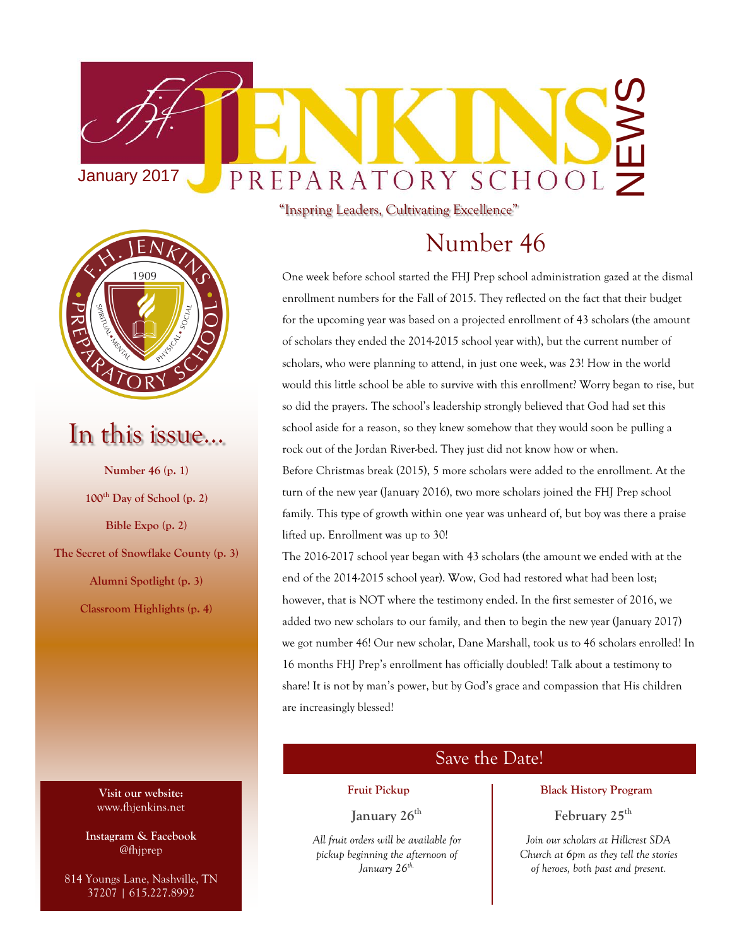



## In this issue…

**Number 46 (p. 1) 100th Day of School (p. 2) Bible Expo (p. 2) The Secret of Snowflake County (p. 3) Alumni Spotlight (p. 3) Classroom Highlights (p. 4)**

> **Visit our website:** www.fhjenkins.net

**Instagram & Facebook** @fhjprep

814 Youngs Lane, Nashville, TN 37207 | 615.227.8992

"Inspring Leaders, Cultivating Excellence"

## Number 46

One week before school started the FHJ Prep school administration gazed at the dismal enrollment numbers for the Fall of 2015. They reflected on the fact that their budget for the upcoming year was based on a projected enrollment of 43 scholars (the amount of scholars they ended the 2014-2015 school year with), but the current number of scholars, who were planning to attend, in just one week, was 23! How in the world would this little school be able to survive with this enrollment? Worry began to rise, but so did the prayers. The school's leadership strongly believed that God had set this school aside for a reason, so they knew somehow that they would soon be pulling a rock out of the Jordan River-bed. They just did not know how or when. Before Christmas break (2015), 5 more scholars were added to the enrollment. At the turn of the new year (January 2016), two more scholars joined the FHJ Prep school family. This type of growth within one year was unheard of, but boy was there a praise lifted up. Enrollment was up to 30!

The 2016-2017 school year began with 43 scholars (the amount we ended with at the end of the 2014-2015 school year). Wow, God had restored what had been lost; however, that is NOT where the testimony ended. In the first semester of 2016, we added two new scholars to our family, and then to begin the new year (January 2017) we got number 46! Our new scholar, Dane Marshall, took us to 46 scholars enrolled! In 16 months FHJ Prep's enrollment has officially doubled! Talk about a testimony to share! It is not by man's power, but by God's grace and compassion that His children are increasingly blessed!

#### Save the Date!

#### **Fruit Pickup**

**January 26th**

*All fruit orders will be available for pickup beginning the afternoon of January 26th.*

#### **Black History Program**

#### **February 25th**

*Join our scholars at Hillcrest SDA Church at 6pm as they tell the stories of heroes, both past and present.*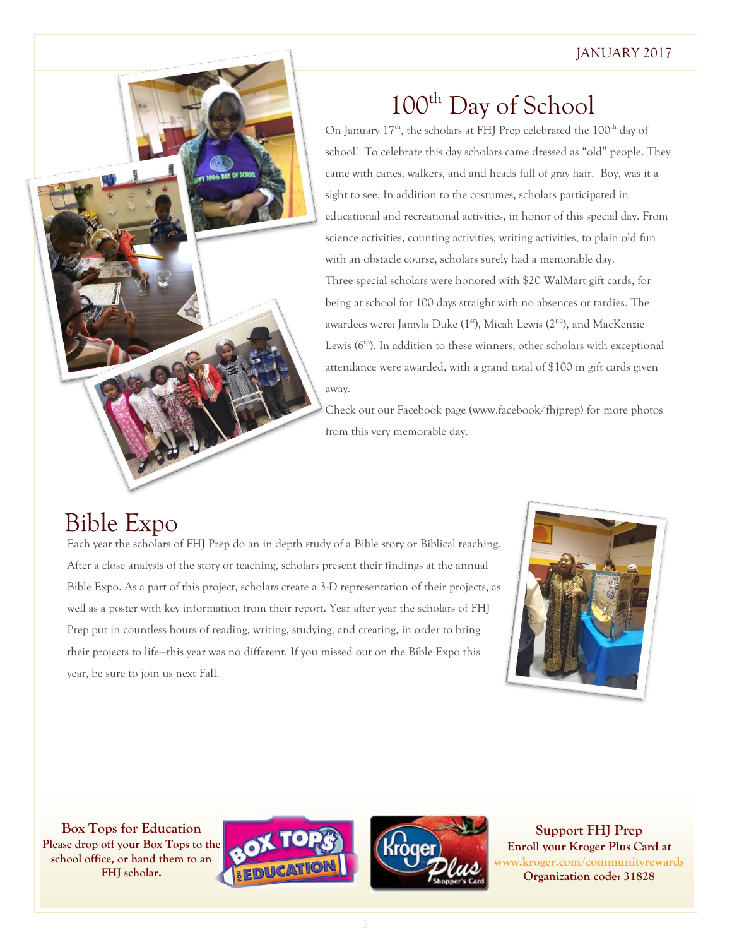#### JANUARY 2017

## 100<sup>th</sup> Day of School

On January  $17<sup>th</sup>$ , the scholars at FHJ Prep celebrated the  $100<sup>th</sup>$  day of school! To celebrate this day scholars came dressed as "old" people. They came with canes, walkers, and and heads full of gray hair. Boy, was it a sight to see. In addition to the costumes, scholars participated in educational and recreational activities, in honor of this special day. From science activities, counting activities, writing activities, to plain old fun with an obstacle course, scholars surely had a memorable day. Three special scholars were honored with \$20 WalMart gift cards, for being at school for 100 days straight with no absences or tardies. The awardees were: Jamyla Duke (1<sup>st</sup>), Micah Lewis (2<sup>nd</sup>), and MacKenzie Lewis  $(6<sup>th</sup>)$ . In addition to these winners, other scholars with exceptional attendance were awarded, with a grand total of \$100 in gift cards given away.

Check out our Facebook page (www.facebook/fhjprep) for more photos from this very memorable day.

## Bible Expo

Each year the scholars of FHJ Prep do an in depth study of a Bible story or Biblical teaching. After a close analysis of the story or teaching, scholars present their findings at the annual Bible Expo. As a part of this project, scholars create a 3-D representation of their projects, as well as a poster with key information from their report. Year after year the scholars of FHJ Prep put in countless hours of reading, writing, studying, and creating, in order to bring their projects to life—this year was no different. If you missed out on the Bible Expo this year, be sure to join us next Fall.



**Box Tops for Education Please drop off your Box Tops to the school office, or hand them to an FHJ scholar.**





**Support FHJ Prep Enroll your Kroger Plus Card at www.kroger.com/communityrewards Organization code: 31828**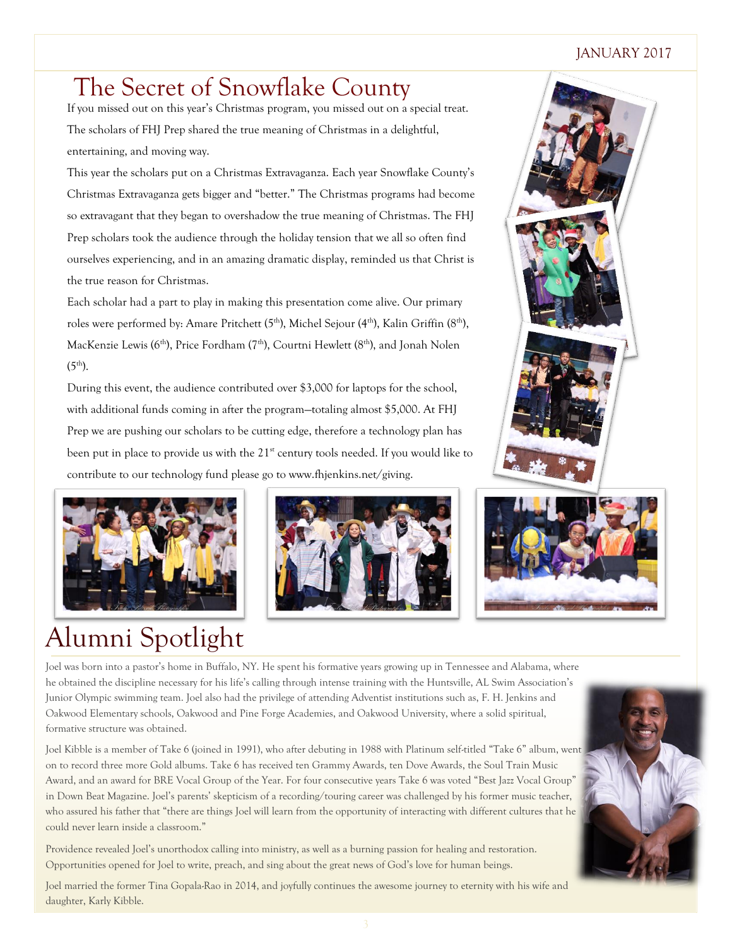#### JANUARY 2017

## The Secret of Snowflake County

If you missed out on this year's Christmas program, you missed out on a special treat. The scholars of FHJ Prep shared the true meaning of Christmas in a delightful, entertaining, and moving way.

This year the scholars put on a Christmas Extravaganza. Each year Snowflake County's Christmas Extravaganza gets bigger and "better." The Christmas programs had become so extravagant that they began to overshadow the true meaning of Christmas. The FHJ Prep scholars took the audience through the holiday tension that we all so often find ourselves experiencing, and in an amazing dramatic display, reminded us that Christ is the true reason for Christmas.

Each scholar had a part to play in making this presentation come alive. Our primary roles were performed by: Amare Pritchett  $(5<sup>th</sup>)$ , Michel Sejour  $(4<sup>th</sup>)$ , Kalin Griffin  $(8<sup>th</sup>)$ , MacKenzie Lewis ( $6<sup>th</sup>$ ), Price Fordham ( $7<sup>th</sup>$ ), Courtni Hewlett ( $8<sup>th</sup>$ ), and Jonah Nolen  $(5^{th})$ .

During this event, the audience contributed over \$3,000 for laptops for the school, with additional funds coming in after the program—totaling almost \$5,000. At FHJ Prep we are pushing our scholars to be cutting edge, therefore a technology plan has been put in place to provide us with the 21<sup>st</sup> century tools needed. If you would like to contribute to our technology fund please go to www.fhjenkins.net/giving.



## Alumni Spotlight







Joel was born into a pastor's home in Buffalo, NY. He spent his formative years growing up in Tennessee and Alabama, where he obtained the discipline necessary for his life's calling through intense training with the Huntsville, AL Swim Association's Junior Olympic swimming team. Joel also had the privilege of attending Adventist institutions such as, F. H. Jenkins and Oakwood Elementary schools, Oakwood and Pine Forge Academies, and Oakwood University, where a solid spiritual, formative structure was obtained.

Joel Kibble is a member of Take 6 (joined in 1991), who after debuting in 1988 with Platinum self-titled "Take 6" album, went on to record three more Gold albums. Take 6 has received ten Grammy Awards, ten Dove Awards, the Soul Train Music Award, and an award for BRE Vocal Group of the Year. For four consecutive years Take 6 was voted "Best Jazz Vocal Group" in Down Beat Magazine. Joel's parents' skepticism of a recording/touring career was challenged by his former music teacher, who assured his father that "there are things Joel will learn from the opportunity of interacting with different cultures that he could never learn inside a classroom."

Providence revealed Joel's unorthodox calling into ministry, as well as a burning passion for healing and restoration. Opportunities opened for Joel to write, preach, and sing about the great news of God's love for human beings.

Joel married the former Tina Gopala-Rao in 2014, and joyfully continues the awesome journey to eternity with his wife and daughter, Karly Kibble.